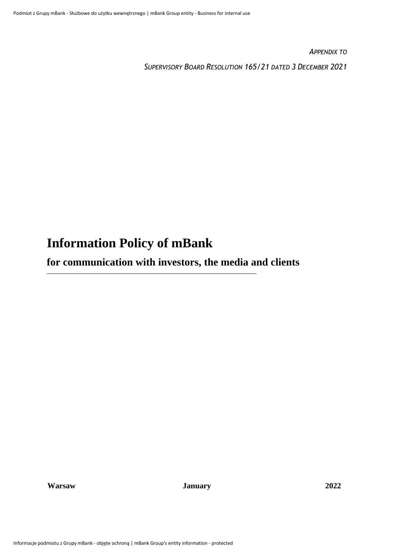*APPENDIX TO* 

*SUPERVISORY BOARD RESOLUTION 165/21 DATED 3 DECEMBER 2021*

# **Information Policy of mBank**

**for communication with investors, the media and clients** 

**Warsaw January 2022**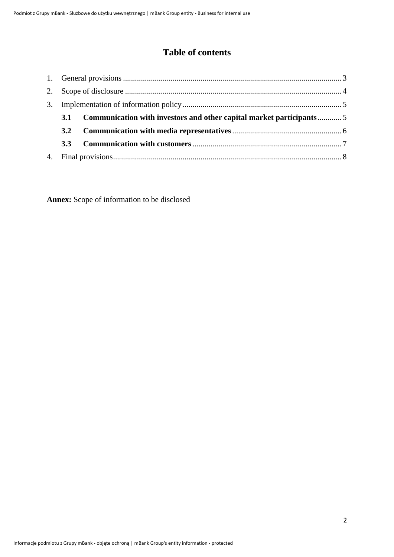## **Table of contents**

| 3.1              | Communication with investors and other capital market participants5 |  |
|------------------|---------------------------------------------------------------------|--|
| 3.2              |                                                                     |  |
| 3.3 <sup>2</sup> |                                                                     |  |
|                  |                                                                     |  |

**Annex:** Scope of information to be disclosed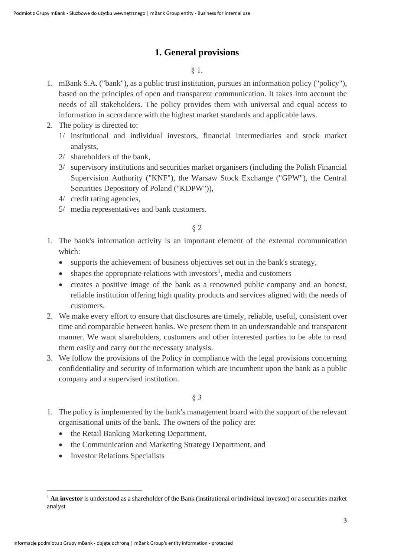## **1. General provisions**

#### § 1.

- <span id="page-2-0"></span>1. mBank S.A. ("bank"), as a public trust institution, pursues an information policy ("policy"), based on the principles of open and transparent communication. It takes into account the needs of all stakeholders. The policy provides them with universal and equal access to information in accordance with the highest market standards and applicable laws.
- 2. The policy is directed to:
	- 1/ institutional and individual investors, financial intermediaries and stock market analysts,
	- 2/ shareholders of the bank,
	- 3/ supervisory institutions and securities market organisers (including the Polish Financial Supervision Authority ("KNF"), the Warsaw Stock Exchange ("GPW"), the Central Securities Depository of Poland ("KDPW")),
	- 4/ credit rating agencies,
	- 5/ media representatives and bank customers.

## § 2

- 1. The bank's information activity is an important element of the external communication which:
	- supports the achievement of business objectives set out in the bank's strategy,
	- $\bullet$  shapes the appropriate relations with investors<sup>1</sup>, media and customers
	- creates a positive image of the bank as a renowned public company and an honest, reliable institution offering high quality products and services aligned with the needs of customers.
- 2. We make every effort to ensure that disclosures are timely, reliable, useful, consistent over time and comparable between banks. We present them in an understandable and transparent manner. We want shareholders, customers and other interested parties to be able to read them easily and carry out the necessary analysis.
- 3. We follow the provisions of the Policy in compliance with the legal provisions concerning confidentiality and security of information which are incumbent upon the bank as a public company and a supervised institution.

## § 3

- 1. The policy is implemented by the bank's management board with the support of the relevant organisational units of the bank. The owners of the policy are:
	- the Retail Banking Marketing Department,
	- the Communication and Marketing Strategy Department, and
	- Investor Relations Specialists

<sup>&</sup>lt;sup>1</sup> An investor is understood as a shareholder of the Bank (institutional or individual investor) or a securities market analyst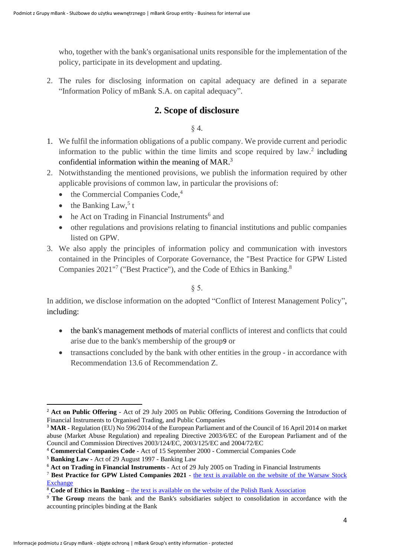who, together with the bank's organisational units responsible for the implementation of the policy, participate in its development and updating.

<span id="page-3-0"></span>2. The rules for disclosing information on capital adequacy are defined in a separate "Information Policy of mBank S.A. on capital adequacy".

## **2. Scope of disclosure**

§ 4.

- 1. We fulfil the information obligations of a public company. We provide current and periodic information to the public within the time limits and scope required by  $law$ .<sup>2</sup> including confidential information within the meaning of MAR.<sup>3</sup>
- 2. Notwithstanding the mentioned provisions, we publish the information required by other applicable provisions of common law, in particular the provisions of:
	- the Commercial Companies Code,<sup>4</sup>
	- the Banking Law,<sup>5</sup> t
	- he Act on Trading in Financial Instruments<sup>6</sup> and
	- other regulations and provisions relating to financial institutions and public companies listed on GPW.
- 3. We also apply the principles of information policy and communication with investors contained in the Principles of Corporate Governance, the "Best Practice for GPW Listed Companies 2021"<sup>7</sup> ("Best Practice"), and the Code of Ethics in Banking.<sup>8</sup>

#### § 5.

In addition, we disclose information on the adopted "Conflict of Interest Management Policy", including:

- the bank's management methods of material conflicts of interest and conflicts that could arise due to the bank's membership of the group9 or
- transactions concluded by the bank with other entities in the group in accordance with Recommendation 13.6 of Recommendation Z.

<sup>&</sup>lt;sup>2</sup> **Act on Public Offering** - Act of 29 July 2005 on Public Offering, Conditions Governing the Introduction of Financial Instruments to Organised Trading, and Public Companies

<sup>3</sup> **MAR** - Regulation (EU) No 596/2014 of the European Parliament and of the Council of 16 April 2014 on market abuse (Market Abuse Regulation) and repealing Directive 2003/6/EC of the European Parliament and of the Council and Commission Directives 2003/124/EC, 2003/125/EC and 2004/72/EC

<sup>4</sup> **Commercial Companies Code -** Act of 15 September 2000 - Commercial Companies Code

<sup>5</sup> **Banking Law -** Act of 29 August 1997 - Banking Law

<sup>6</sup> **Act on Trading in Financial Instruments -** Act of 29 July 2005 on Trading in Financial Instruments

<sup>7</sup> **Best Practice for GPW Listed Companies 2021** - [the text is available on the website of the Warsaw Stock](https://www.gpw.pl/dobre-praktyki2021)  **[Exchange](https://www.gpw.pl/dobre-praktyki2021)** 

<sup>8</sup> **[C](https://www.zbp.pl/getmedia/c54fc557-0e78-48e2-a92b-1a601685dbc7/KEB_final_WZ)ode of Ethics in Banking –** the text is available on [the website of the Polish Bank Association](https://www.zbp.pl/getmedia/c54fc557-0e78-48e2-a92b-1a601685dbc7/KEB_final_WZ)

<sup>9</sup> **The Group** means the bank and the Bank's subsidiaries subject to consolidation in accordance with the accounting principles binding at the Bank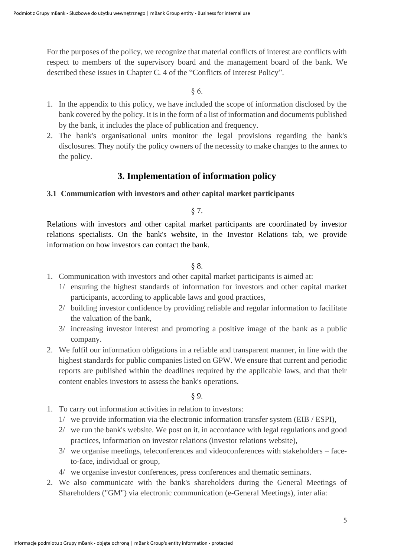For the purposes of the policy, we recognize that material conflicts of interest are conflicts with respect to members of the supervisory board and the management board of the bank. We described these issues in Chapter C. 4 of the "Conflicts of Interest Policy".

§ 6.

- 1. In the appendix to this policy, we have included the scope of information disclosed by the bank covered by the policy. It is in the form of a list of information and documents published by the bank, it includes the place of publication and frequency.
- 2. The bank's organisational units monitor the legal provisions regarding the bank's disclosures. They notify the policy owners of the necessity to make changes to the annex to the policy.

## **3. Implementation of information policy**

#### <span id="page-4-1"></span><span id="page-4-0"></span>**3.1 Communication with investors and other capital market participants**

#### § 7.

Relations with investors and other capital market participants are coordinated by investor relations specialists. On the bank's website, in the Investor Relations tab, we provide information on how investors can contact the bank.

#### § 8.

- 1. Communication with investors and other capital market participants is aimed at:
	- 1/ ensuring the highest standards of information for investors and other capital market participants, according to applicable laws and good practices,
	- 2/ building investor confidence by providing reliable and regular information to facilitate the valuation of the bank,
	- 3/ increasing investor interest and promoting a positive image of the bank as a public company.
- 2. We fulfil our information obligations in a reliable and transparent manner, in line with the highest standards for public companies listed on GPW. We ensure that current and periodic reports are published within the deadlines required by the applicable laws, and that their content enables investors to assess the bank's operations.

#### § 9.

- 1. To carry out information activities in relation to investors:
	- 1/ we provide information via the electronic information transfer system (EIB / ESPI),
	- 2/ we run the bank's website. We post on it, in accordance with legal regulations and good practices, information on investor relations (investor relations website),
	- 3/ we organise meetings, teleconferences and videoconferences with stakeholders faceto-face, individual or group,
	- 4/ we organise investor conferences, press conferences and thematic seminars.
- 2. We also communicate with the bank's shareholders during the General Meetings of Shareholders ("GM") via electronic communication (e-General Meetings), inter alia: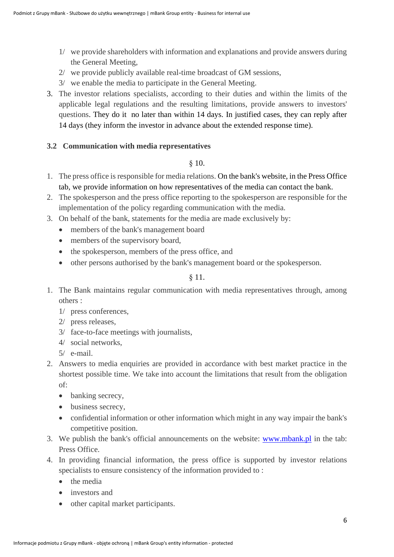- 1/ we provide shareholders with information and explanations and provide answers during the General Meeting,
- 2/ we provide publicly available real-time broadcast of GM sessions,
- 3/ we enable the media to participate in the General Meeting.
- 3. The investor relations specialists, according to their duties and within the limits of the applicable legal regulations and the resulting limitations, provide answers to investors' questions. They do it no later than within 14 days. In justified cases, they can reply after 14 days (they inform the investor in advance about the extended response time).

#### **3.2 Communication with media representatives**

#### <span id="page-5-0"></span>§ 10.

- 1. The press office is responsible for media relations. On the bank's website, in the Press Office tab, we provide information on how representatives of the media can contact the bank.
- 2. The spokesperson and the press office reporting to the spokesperson are responsible for the implementation of the policy regarding communication with the media.
- 3. On behalf of the bank, statements for the media are made exclusively by:
	- members of the bank's management board
	- members of the supervisory board,
	- the spokesperson, members of the press office, and
	- other persons authorised by the bank's management board or the spokesperson.

#### § 11.

- 1. The Bank maintains regular communication with media representatives through, among others :
	- 1/ press conferences,
	- 2/ press releases,
	- 3/ face-to-face meetings with journalists,
	- 4/ social networks,
	- $5/$  e-mail.
- 2. Answers to media enquiries are provided in accordance with best market practice in the shortest possible time. We take into account the limitations that result from the obligation of:
	- banking secrecy,
	- business secrecy,
	- confidential information or other information which might in any way impair the bank's competitive position.
- 3. We publish the bank's official announcements on the website: [www.mbank.pl](http://www.mbank.pl/) in the tab: Press Office.
- 4. In providing financial information, the press office is supported by investor relations specialists to ensure consistency of the information provided to :
	- the media
	- investors and
	- other capital market participants.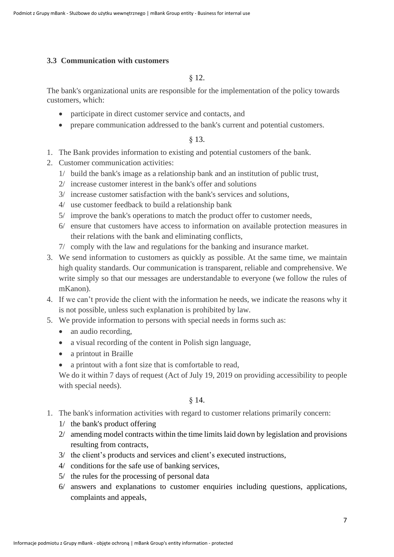#### <span id="page-6-0"></span>**3.3 Communication with customers**

#### § 12.

The bank's organizational units are responsible for the implementation of the policy towards customers, which:

- participate in direct customer service and contacts, and
- prepare communication addressed to the bank's current and potential customers.

#### § 13.

- 1. The Bank provides information to existing and potential customers of the bank.
- 2. Customer communication activities:
	- 1/ build the bank's image as a relationship bank and an institution of public trust,
	- 2/ increase customer interest in the bank's offer and solutions
	- 3/ increase customer satisfaction with the bank's services and solutions,
	- 4/ use customer feedback to build a relationship bank
	- 5/ improve the bank's operations to match the product offer to customer needs,
	- 6/ ensure that customers have access to information on available protection measures in their relations with the bank and eliminating conflicts,
	- 7/ comply with the law and regulations for the banking and insurance market.
- 3. We send information to customers as quickly as possible. At the same time, we maintain high quality standards. Our communication is transparent, reliable and comprehensive. We write simply so that our messages are understandable to everyone (we follow the rules of mKanon).
- 4. If we can't provide the client with the information he needs, we indicate the reasons why it is not possible, unless such explanation is prohibited by law.
- 5. We provide information to persons with special needs in forms such as:
	- an audio recording,
	- a visual recording of the content in Polish sign language,
	- a printout in Braille
	- a printout with a font size that is comfortable to read,

We do it within 7 days of request (Act of July 19, 2019 on providing accessibility to people with special needs).

#### § 14.

- 1. The bank's information activities with regard to customer relations primarily concern:
	- 1/ the bank's product offering
	- 2/ amending model contracts within the time limits laid down by legislation and provisions resulting from contracts,
	- 3/ the client's products and services and client's executed instructions,
	- 4/ conditions for the safe use of banking services,
	- 5/ the rules for the processing of personal data
	- 6/ answers and explanations to customer enquiries including questions, applications, complaints and appeals,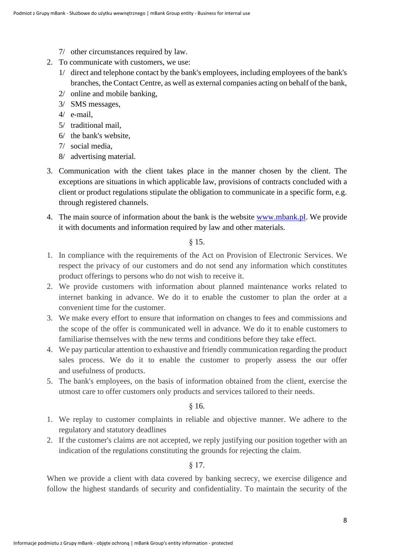- 7/ other circumstances required by law.
- 2. To communicate with customers, we use:
	- 1/ direct and telephone contact by the bank's employees, including employees of the bank's branches, the Contact Centre, as well as external companies acting on behalf of the bank,
	- 2/ online and mobile banking,
	- 3/ SMS messages,
	- 4/ e-mail,
	- 5/ traditional mail,
	- 6/ the bank's website,
	- 7/ social media,
	- 8/ advertising material.
- 3. Communication with the client takes place in the manner chosen by the client. The exceptions are situations in which applicable law, provisions of contracts concluded with a client or product regulations stipulate the obligation to communicate in a specific form, e.g. through registered channels.
- 4. The main source of information about the bank is the website [www.mbank.pl.](http://www.mbank.pl/) We provide it with documents and information required by law and other materials.

#### § 15.

- 1. In compliance with the requirements of the Act on Provision of Electronic Services. We respect the privacy of our customers and do not send any information which constitutes product offerings to persons who do not wish to receive it.
- 2. We provide customers with information about planned maintenance works related to internet banking in advance. We do it to enable the customer to plan the order at a convenient time for the customer.
- 3. We make every effort to ensure that information on changes to fees and commissions and the scope of the offer is communicated well in advance. We do it to enable customers to familiarise themselves with the new terms and conditions before they take effect.
- 4. We pay particular attention to exhaustive and friendly communication regarding the product sales process. We do it to enable the customer to properly assess the our offer and usefulness of products.
- 5. The bank's employees, on the basis of information obtained from the client, exercise the utmost care to offer customers only products and services tailored to their needs.

§ 16.

- 1. We replay to customer complaints in reliable and objective manner. We adhere to the regulatory and statutory deadlines
- 2. If the customer's claims are not accepted, we reply justifying our position together with an indication of the regulations constituting the grounds for rejecting the claim.

§ 17.

<span id="page-7-0"></span>When we provide a client with data covered by banking secrecy, we exercise diligence and follow the highest standards of security and confidentiality. To maintain the security of the